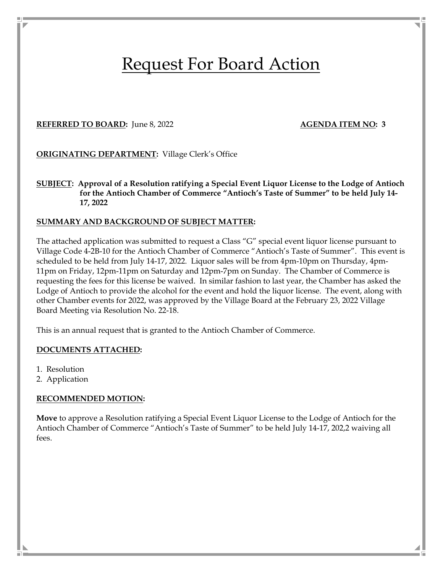# Request For Board Action

### **REFERRED TO BOARD:** June 8, 2022 **AGENDA ITEM NO: 3**

#### **ORIGINATING DEPARTMENT:** Village Clerk's Office

**SUBJECT: Approval of a Resolution ratifying a Special Event Liquor License to the Lodge of Antioch for the Antioch Chamber of Commerce "Antioch's Taste of Summer" to be held July 14- 17, 2022** 

#### **SUMMARY AND BACKGROUND OF SUBJECT MATTER:**

The attached application was submitted to request a Class "G" special event liquor license pursuant to Village Code 4-2B-10 for the Antioch Chamber of Commerce "Antioch's Taste of Summer". This event is scheduled to be held from July 14-17, 2022. Liquor sales will be from 4pm-10pm on Thursday, 4pm-11pm on Friday, 12pm-11pm on Saturday and 12pm-7pm on Sunday. The Chamber of Commerce is requesting the fees for this license be waived. In similar fashion to last year, the Chamber has asked the Lodge of Antioch to provide the alcohol for the event and hold the liquor license. The event, along with other Chamber events for 2022, was approved by the Village Board at the February 23, 2022 Village Board Meeting via Resolution No. 22-18.

This is an annual request that is granted to the Antioch Chamber of Commerce.

#### **DOCUMENTS ATTACHED:**

- 1. Resolution
- 2. Application

#### **RECOMMENDED MOTION:**

**Move** to approve a Resolution ratifying a Special Event Liquor License to the Lodge of Antioch for the Antioch Chamber of Commerce "Antioch's Taste of Summer" to be held July 14-17, 202,2 waiving all fees.